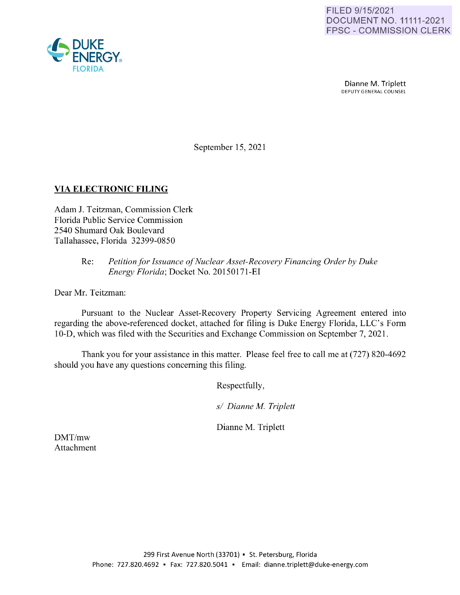

Dianne M. Triplett<br>DEPUTY GENERAL COUNSEL

September 15, 2021

# **VIA ELECTRONIC FILING**

Adam J. Teitzman, Commission Clerk Florida Public Service Commission 2540 Shumard Oak Boulevard Tallahassee, Florida 32399-0850

## Re: *Petition for Issuance of Nuclear Asset-Recovery Financing Order by Duke Energy Florida;* Docket No. 20150171-EI

Dear Mr. Teitzman:

Pursuant to the Nuclear Asset-Recovery Property Servicing Agreement entered into regarding the above-referenced docket, attached for filing is Duke Energy Florida, LLC's Form 10-D, which was filed with the Securities and Exchange Commission on September 7, 2021.

Thank you for your assistance in this matter. Please feel free to call me at (727) 820-4692 should you have any questions concerning this filing.

Respectfully,

*sl Dianne M. Triplett* 

Dianne M. Triplett

DMT/mw Attachment

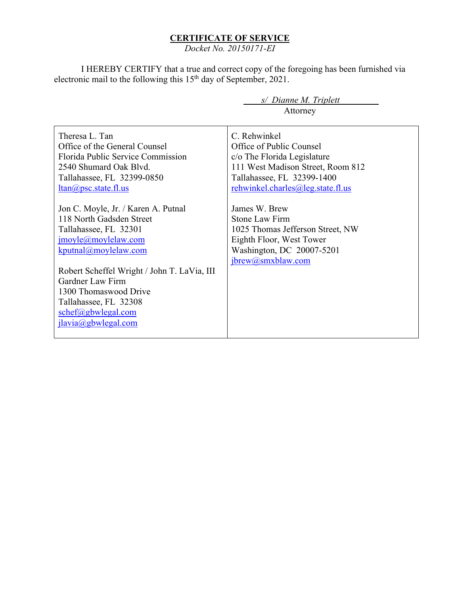## **CERTIFICATE OF SERVICE**

*Docket No. 20150171-EI* 

I HEREBY CERTIFY that a true and correct copy of the foregoing has been furnished via electronic mail to the following this 15<sup>th</sup> day of September, 2021.

> *s/ Dianne M. Triplett*  Attorney

Theresa L. Tan Office of the General Counsel Florida Public Service Commission 2540 Shumard Oak Blvd. Tallahassee, FL 32399-0850 ltan@psc.state.fl.us Jon C. Moyle, Jr. / Karen A. Putnal 118 North Gadsden Street Tallahassee, FL 32301 jmoyle@moylelaw.com kputnal@moylelaw.com Robert Scheffel Wright / John T. LaVia, III Gardner Law Firm 1300 Thomaswood Drive Tallahassee, FL 32308 schef@gbwlegal.com jlavia@gbwlegal.com C. Rehwinkel Office of Public Counsel c/o The Florida Legislature 111 West Madison Street, Room 812 Tallahassee, FL 32399-1400 rehwinkel.charles@leg.state.fl.us James W. Brew Stone Law Firm 1025 Thomas Jefferson Street, NW Eighth Floor, West Tower Washington, DC 20007-5201 jbrew@smxblaw.com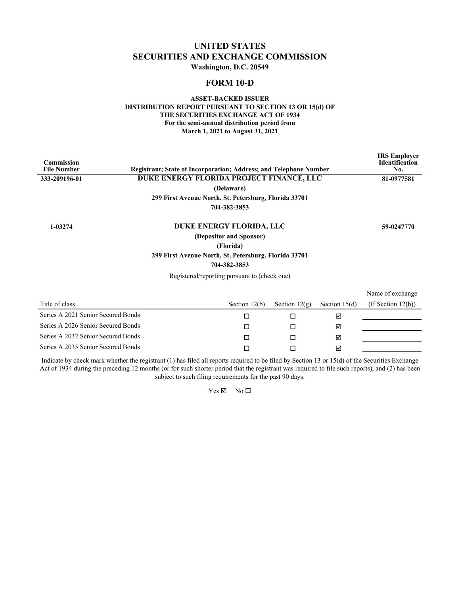# **UNITED STATES SECURITIES AND EXCHANGE COMMISSION**

**Washington, D.C. 20549**

### **FORM 10-D**

#### **ASSET-BACKED ISSUER DISTRIBUTION REPORT PURSUANT TO SECTION 13 OR 15(d) OF THE SECURITIES EXCHANGE ACT OF 1934 For the semi-annual distribution period from March 1, 2021 to August 31, 2021**

| <b>Commission</b><br><b>File Number</b> | <b>Registrant: State of Incorporation: Address: and Telephone Number</b> |                         |                 |                 | <b>IRS</b> Employer<br><b>Identification</b><br>No. |
|-----------------------------------------|--------------------------------------------------------------------------|-------------------------|-----------------|-----------------|-----------------------------------------------------|
| 333-209196-01                           | DUKE ENERGY FLORIDA PROJECT FINANCE, LLC                                 |                         |                 |                 | 81-0977581                                          |
|                                         |                                                                          | (Delaware)              |                 |                 |                                                     |
|                                         | 299 First Avenue North, St. Petersburg, Florida 33701                    |                         |                 |                 |                                                     |
|                                         |                                                                          | 704-382-3853            |                 |                 |                                                     |
| 1-03274                                 | DUKE ENERGY FLORIDA, LLC                                                 |                         |                 |                 | 59-0247770                                          |
|                                         |                                                                          | (Depositor and Sponsor) |                 |                 |                                                     |
|                                         |                                                                          | (Florida)               |                 |                 |                                                     |
|                                         | 299 First Avenue North, St. Petersburg, Florida 33701                    |                         |                 |                 |                                                     |
|                                         |                                                                          | 704-382-3853            |                 |                 |                                                     |
|                                         | Registered/reporting pursuant to (check one)                             |                         |                 |                 |                                                     |
|                                         |                                                                          |                         |                 |                 | Name of exchange                                    |
| Title of class                          |                                                                          | Section $12(b)$         | Section $12(g)$ | Section $15(d)$ | (If Section $12(b)$ )                               |
| Series A 2021 Senior Secured Bonds      |                                                                          | □                       | □               | ☑               |                                                     |
| Series A 2026 Senior Secured Bonds      |                                                                          | $\Box$                  | П               | ☑               |                                                     |
| Series A 2032 Senior Secured Bonds      |                                                                          | □                       | □               | ☑               |                                                     |
| Series A 2035 Senior Secured Bonds      |                                                                          | □                       | П               | ⊠               |                                                     |
|                                         |                                                                          |                         |                 |                 |                                                     |

Indicate by check mark whether the registrant (1) has filed all reports required to be filed by Section 13 or 15(d) of the Securities Exchange Act of 1934 during the preceding 12 months (or for such shorter period that the registrant was required to file such reports), and (2) has been subject to such filing requirements for the past 90 days.

 $Yes \n\mathbb{Z}$  No  $\square$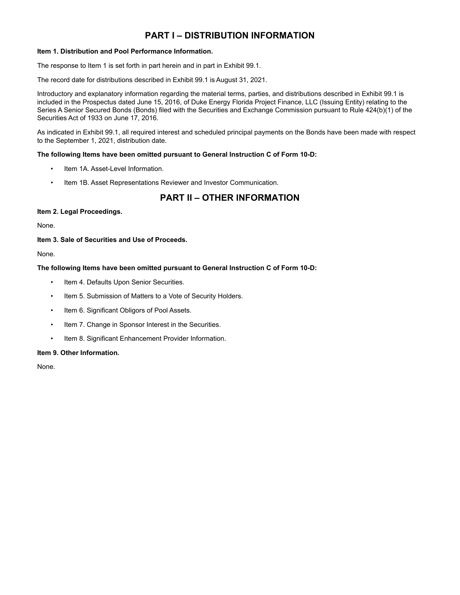# **PART I – DISTRIBUTION INFORMATION**

#### **Item 1. Distribution and Pool Performance Information.**

The response to Item 1 is set forth in part herein and in part in Exhibit 99.1.

The record date for distributions described in Exhibit 99.1 is August 31, 2021.

Introductory and explanatory information regarding the material terms, parties, and distributions described in Exhibit 99.1 is included in the Prospectus dated June 15, 2016, of Duke Energy Florida Project Finance, LLC (Issuing Entity) relating to the Series A Senior Secured Bonds (Bonds) filed with the Securities and Exchange Commission pursuant to Rule 424(b)(1) of the Securities Act of 1933 on June 17, 2016.

As indicated in Exhibit 99.1, all required interest and scheduled principal payments on the Bonds have been made with respect to the September 1, 2021, distribution date.

#### **The following Items have been omitted pursuant to General Instruction C of Form 10-D:**

- Item 1A. Asset-Level Information.
- Item 1B. Asset Representations Reviewer and Investor Communication.

# **PART II – OTHER INFORMATION**

#### **Item 2. Legal Proceedings.**

None.

#### **Item 3. Sale of Securities and Use of Proceeds.**

None.

#### **The following Items have been omitted pursuant to General Instruction C of Form 10-D:**

- Item 4. Defaults Upon Senior Securities.
- Item 5. Submission of Matters to a Vote of Security Holders.
- Item 6. Significant Obligors of Pool Assets.
- Item 7. Change in Sponsor Interest in the Securities.
- Item 8. Significant Enhancement Provider Information.

#### **Item 9. Other Information.**

None.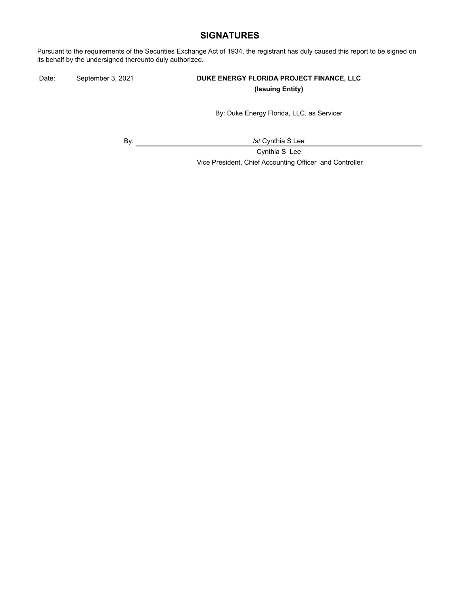## **SIGNATURES**

Pursuant to the requirements of the Securities Exchange Act of 1934, the registrant has duly caused this report to be signed on its behalf by the undersigned thereunto duly authorized.

## Date: September 3, 2021 **DUKE ENERGY FLORIDA PROJECT FINANCE, LLC (Issuing Entity)**

By: Duke Energy Florida, LLC, as Servicer

By:  $\qquad \qquad \qquad$  /s/ Cynthia S Lee

Cynthia S Lee Vice President, Chief Accounting Officer and Controller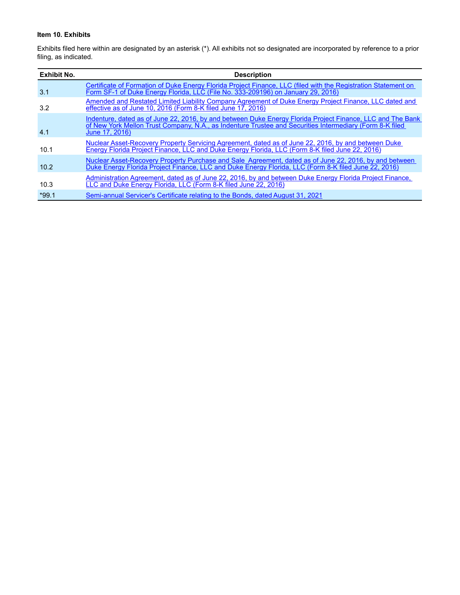#### **Item 10. Exhibits**

Exhibits filed here within are designated by an asterisk (\*). All exhibits not so designated are incorporated by reference to a prior filing, as indicated.

| <b>Exhibit No.</b> | <b>Description</b>                                                                                                                                                                                                                       |
|--------------------|------------------------------------------------------------------------------------------------------------------------------------------------------------------------------------------------------------------------------------------|
| 3.1                | Certificate of Formation of Duke Energy Florida Project Finance, LLC (filed with the Registration Statement on<br>Form SF-1 of Duke Energy Florida, LLC (File No. 333-209196) on January 29, 2016)                                       |
| 3.2                | Amended and Restated Limited Liability Company Agreement of Duke Energy Project Finance, LLC dated and<br>effective as of June 10, 2016 (Form 8-K filed June 17, 2016)                                                                   |
| 4.1                | Indenture, dated as of June 22, 2016, by and between Duke Energy Florida Project Finance, LLC and The Bank<br>of New York Mellon Trust Company, N.A., as Indenture Trustee and Securities Intermediary (Form 8-K filed<br>June 17, 2016) |
| 10.1               | Nuclear Asset-Recovery Property Servicing Agreement, dated as of June 22, 2016, by and between Duke<br>Energy Florida Project Finance, LLC and Duke Energy Florida, LLC (Form 8-K filed June 22, 2016)                                   |
| 10.2               | Nuclear Asset-Recovery Property Purchase and Sale Agreement, dated as of June 22, 2016, by and between<br>Duke Energy Florida Project Finance, LLC and Duke Energy Florida, LLC (Form 8-K filed June 22, 2016)                           |
| 10.3               | Administration Agreement, dated as of June 22, 2016, by and between Duke Energy Florida Project Finance,<br>LLC and Duke Energy Florida, LLC (Form 8-K filed June 22, 2016)                                                              |
| $*99.1$            | Semi-annual Servicer's Certificate relating to the Bonds, dated August 31, 2021                                                                                                                                                          |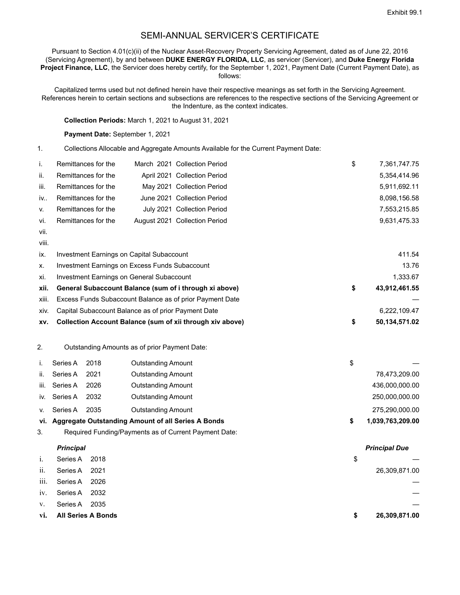# SEMI-ANNUAL SERVICER'S CERTIFICATE

Pursuant to Section 4.01(c)(ii) of the Nuclear Asset-Recovery Property Servicing Agreement, dated as of June 22, 2016 (Servicing Agreement), by and between **DUKE ENERGY FLORIDA, LLC**, as servicer (Servicer), and **Duke Energy Florida Project Finance, LLC**, the Servicer does hereby certify, for the September 1, 2021, Payment Date (Current Payment Date), as follows:

Capitalized terms used but not defined herein have their respective meanings as set forth in the Servicing Agreement. References herein to certain sections and subsections are references to the respective sections of the Servicing Agreement or the Indenture, as the context indicates.

**Collection Periods:** March 1, 2021 to August 31, 2021

#### **Payment Date:** September 1, 2021

1. Collections Allocable and Aggregate Amounts Available for the Current Payment Date:

| i.    | Remittances for the                                      |  | March 2021 Collection Period                              | \$<br>7,361,747.75  |
|-------|----------------------------------------------------------|--|-----------------------------------------------------------|---------------------|
| ii.   | Remittances for the                                      |  | April 2021 Collection Period                              | 5,354,414.96        |
| iii.  | Remittances for the                                      |  | May 2021 Collection Period                                | 5,911,692.11        |
| iv    | Remittances for the                                      |  | June 2021 Collection Period                               | 8,098,156.58        |
| v.    | Remittances for the                                      |  | July 2021 Collection Period                               | 7,553,215.85        |
| vi.   | Remittances for the                                      |  | August 2021 Collection Period                             | 9,631,475.33        |
| vii.  |                                                          |  |                                                           |                     |
| viii. |                                                          |  |                                                           |                     |
| ix.   | Investment Earnings on Capital Subaccount                |  |                                                           | 411.54              |
| х.    | <b>Investment Earnings on Excess Funds Subaccount</b>    |  |                                                           | 13.76               |
| xi.   | <b>Investment Earnings on General Subaccount</b>         |  |                                                           | 1,333.67            |
| xii.  | General Subaccount Balance (sum of i through xi above)   |  |                                                           | \$<br>43,912,461.55 |
| xiii. | Excess Funds Subaccount Balance as of prior Payment Date |  |                                                           |                     |
| XIV.  | Capital Subaccount Balance as of prior Payment Date      |  |                                                           | 6,222,109.47        |
| XV.   |                                                          |  | Collection Account Balance (sum of xii through xiv above) | \$<br>50,134,571.02 |
| 2.    | Outstanding Amounts as of prior Payment Date:            |  |                                                           |                     |

|      |              |      | vi. Aggregate Outstanding Amount of all Series A Bonds | 1,039,763,209.00 |
|------|--------------|------|--------------------------------------------------------|------------------|
| V.   | Series A     | 2035 | Outstanding Amount                                     | 275,290,000.00   |
|      | iv. Series A | 2032 | Outstanding Amount                                     | 250,000,000.00   |
| iii. | Series A     | 2026 | Outstanding Amount                                     | 436,000,000.00   |
| ii.  | Series A     | 2021 | Outstanding Amount                                     | 78,473,209.00    |
|      | Series A     | 2018 | Outstanding Amount                                     |                  |

3. Required Funding/Payments as of Current Payment Date:

#### *Principal Principal Due*

| $i$ .       | Series A 2018          |      | \$ |               |
|-------------|------------------------|------|----|---------------|
| ii.         | Series A 2021          |      |    | 26,309,871.00 |
|             | iii. Series A 2026     |      |    |               |
|             | iv. Series A 2032      |      |    |               |
| $V_{\star}$ | Series A               | 2035 |    |               |
|             | vi. All Series A Bonds |      | S  | 26,309,871.00 |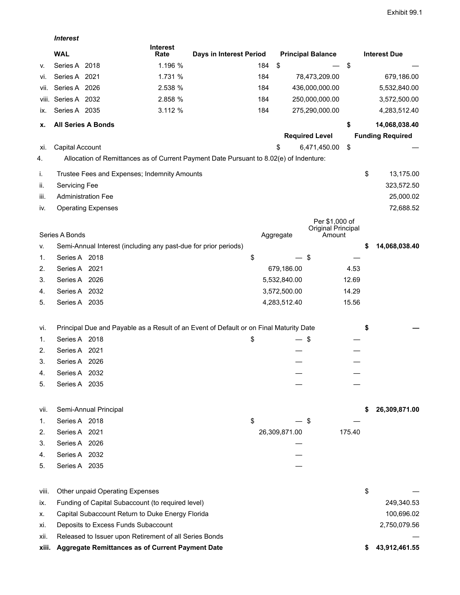|       | <b>Interest</b>      |                                                                 |                         |                                                                                        |               |                              |        |                         |
|-------|----------------------|-----------------------------------------------------------------|-------------------------|----------------------------------------------------------------------------------------|---------------|------------------------------|--------|-------------------------|
|       | <b>WAL</b>           |                                                                 | <b>Interest</b><br>Rate | Days in Interest Period                                                                |               | <b>Principal Balance</b>     |        | <b>Interest Due</b>     |
| v.    | Series A 2018        |                                                                 | 1.196 %                 | 184                                                                                    | \$            |                              | \$     |                         |
| vi.   | Series A 2021        |                                                                 | 1.731 %                 | 184                                                                                    |               | 78,473,209.00                |        | 679,186.00              |
| Vii.  | Series A 2026        |                                                                 | 2.538 %                 | 184                                                                                    |               | 436,000,000.00               |        | 5,532,840.00            |
| VIII. | Series A 2032        |                                                                 | 2.858 %                 | 184                                                                                    |               | 250,000,000.00               |        | 3,572,500.00            |
| IX.   | Series A 2035        |                                                                 | 3.112 %                 | 184                                                                                    |               | 275,290,000.00               |        | 4,283,512.40            |
| х.    |                      | <b>All Series A Bonds</b>                                       |                         |                                                                                        |               |                              | \$     | 14,068,038.40           |
|       |                      |                                                                 |                         |                                                                                        |               | <b>Required Level</b>        |        | <b>Funding Required</b> |
| XI.   | Capital Account      |                                                                 |                         |                                                                                        | \$            | 6,471,450.00                 | \$     |                         |
| 4.    |                      |                                                                 |                         | Allocation of Remittances as of Current Payment Date Pursuant to 8.02(e) of Indenture: |               |                              |        |                         |
| i.    |                      | Trustee Fees and Expenses; Indemnity Amounts                    |                         |                                                                                        |               |                              |        | \$<br>13,175.00         |
| ii.   | <b>Servicing Fee</b> |                                                                 |                         |                                                                                        |               |                              |        | 323,572.50              |
| iii.  |                      | <b>Administration Fee</b>                                       |                         |                                                                                        |               |                              |        | 25,000.02               |
| iv.   |                      | <b>Operating Expenses</b>                                       |                         |                                                                                        |               |                              |        | 72,688.52               |
|       |                      |                                                                 |                         |                                                                                        |               | Per \$1,000 of               |        |                         |
|       | Series A Bonds       |                                                                 |                         |                                                                                        | Aggregate     | Original Principal<br>Amount |        |                         |
| v.    |                      | Semi-Annual Interest (including any past-due for prior periods) |                         |                                                                                        |               |                              |        | \$<br>14,068,038.40     |
| 1.    | Series A 2018        |                                                                 |                         | \$                                                                                     |               | \$                           |        |                         |
| 2.    | Series A 2021        |                                                                 |                         |                                                                                        |               | 679,186.00                   | 4.53   |                         |
| 3.    | Series A 2026        |                                                                 |                         |                                                                                        | 5,532,840.00  |                              | 12.69  |                         |
|       | Series A 2032        |                                                                 |                         |                                                                                        | 3,572,500.00  |                              | 14.29  |                         |
| 4.    | Series A 2035        |                                                                 |                         |                                                                                        |               |                              | 15.56  |                         |
| 5.    |                      |                                                                 |                         |                                                                                        | 4,283,512.40  |                              |        |                         |
| Vİ.   |                      |                                                                 |                         | Principal Due and Payable as a Result of an Event of Default or on Final Maturity Date |               |                              |        | \$                      |
| 1.    | Series A 2018        |                                                                 |                         | \$                                                                                     |               | \$                           |        |                         |
| 2.    | Series A 2021        |                                                                 |                         |                                                                                        |               |                              |        |                         |
| 3.    | Series A 2026        |                                                                 |                         |                                                                                        |               |                              |        |                         |
| 4.    | Series A 2032        |                                                                 |                         |                                                                                        |               |                              |        |                         |
| 5.    | Series A 2035        |                                                                 |                         |                                                                                        |               |                              |        |                         |
|       |                      |                                                                 |                         |                                                                                        |               |                              |        |                         |
| vii.  |                      | Semi-Annual Principal                                           |                         |                                                                                        |               |                              |        | 26,309,871.00           |
| 1.    | Series A 2018        |                                                                 |                         | \$                                                                                     |               | \$                           |        |                         |
| 2.    | Series A 2021        |                                                                 |                         |                                                                                        | 26,309,871.00 |                              | 175.40 |                         |
| 3.    | Series A 2026        |                                                                 |                         |                                                                                        |               |                              |        |                         |
| 4.    | Series A 2032        |                                                                 |                         |                                                                                        |               |                              |        |                         |
| 5.    | Series A 2035        |                                                                 |                         |                                                                                        |               |                              |        |                         |
| viii. |                      | Other unpaid Operating Expenses                                 |                         |                                                                                        |               |                              |        | \$                      |
| IX.   |                      | Funding of Capital Subaccount (to required level)               |                         |                                                                                        |               |                              |        | 249,340.53              |
| х.    |                      | Capital Subaccount Return to Duke Energy Florida                |                         |                                                                                        |               |                              |        | 100,696.02              |
| Xİ.   |                      | Deposits to Excess Funds Subaccount                             |                         |                                                                                        |               |                              |        | 2,750,079.56            |
| хii.  |                      | Released to Issuer upon Retirement of all Series Bonds          |                         |                                                                                        |               |                              |        |                         |
| xiii. |                      | Aggregate Remittances as of Current Payment Date                |                         |                                                                                        |               |                              |        | \$<br>43,912,461.55     |
|       |                      |                                                                 |                         |                                                                                        |               |                              |        |                         |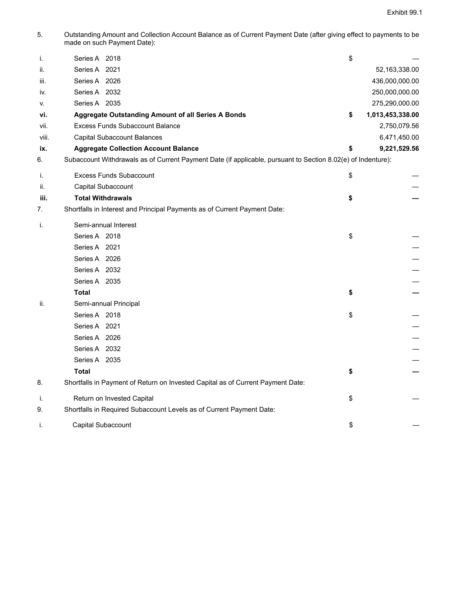5. Outstanding Amount and Collection Account Balance as of Current Payment Date (after giving effect to payments to be made on such Payment Date):

| i.    | Series A 2018                                                                                                | \$                     |
|-------|--------------------------------------------------------------------------------------------------------------|------------------------|
| ii.   | Series A 2021                                                                                                | 52,163,338.00          |
| iii.  | Series A 2026                                                                                                | 436,000,000.00         |
| IV.   | Series A 2032                                                                                                | 250,000,000.00         |
| v.    | Series A 2035                                                                                                | 275,290,000.00         |
| vi.   | <b>Aggregate Outstanding Amount of all Series A Bonds</b>                                                    | \$<br>1,013,453,338.00 |
| vii.  | <b>Excess Funds Subaccount Balance</b>                                                                       | 2,750,079.56           |
| viii. | Capital Subaccount Balances                                                                                  | 6,471,450.00           |
| ix.   | <b>Aggregate Collection Account Balance</b>                                                                  | \$<br>9,221,529.56     |
| 6.    | Subaccount Withdrawals as of Current Payment Date (if applicable, pursuant to Section 8.02(e) of Indenture): |                        |
| i.    | <b>Excess Funds Subaccount</b>                                                                               | \$                     |
| ii.   | Capital Subaccount                                                                                           |                        |
| iii.  | <b>Total Withdrawals</b>                                                                                     | \$                     |
| 7.    | Shortfalls in Interest and Principal Payments as of Current Payment Date:                                    |                        |
| j.    | Semi-annual Interest                                                                                         |                        |
|       | Series A 2018                                                                                                | \$                     |
|       | Series A 2021                                                                                                |                        |
|       | Series A 2026                                                                                                |                        |
|       | Series A 2032                                                                                                |                        |
|       | Series A 2035                                                                                                |                        |
|       | <b>Total</b>                                                                                                 | \$                     |
| ii.   | Semi-annual Principal                                                                                        |                        |
|       | Series A 2018                                                                                                | \$                     |
|       | Series A 2021                                                                                                |                        |
|       | Series A 2026                                                                                                |                        |
|       | Series A 2032                                                                                                |                        |
|       | Series A 2035                                                                                                |                        |
|       | <b>Total</b>                                                                                                 | \$                     |
| 8.    | Shortfalls in Payment of Return on Invested Capital as of Current Payment Date:                              |                        |
| j.    | Return on Invested Capital                                                                                   | \$                     |
| 9.    | Shortfalls in Required Subaccount Levels as of Current Payment Date:                                         |                        |
| i.    | Capital Subaccount                                                                                           | \$                     |